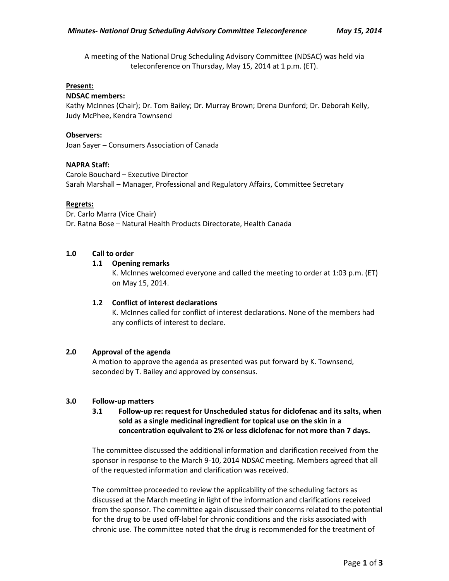A meeting of the National Drug Scheduling Advisory Committee (NDSAC) was held via teleconference on Thursday, May 15, 2014 at 1 p.m. (ET).

### **Present:**

## **NDSAC members:**

Kathy McInnes (Chair); Dr. Tom Bailey; Dr. Murray Brown; Drena Dunford; Dr. Deborah Kelly, Judy McPhee, Kendra Townsend

### **Observers:**

Joan Sayer – Consumers Association of Canada

## **NAPRA Staff:**

Carole Bouchard – Executive Director Sarah Marshall – Manager, Professional and Regulatory Affairs, Committee Secretary

## **Regrets:**

Dr. Carlo Marra (Vice Chair) Dr. Ratna Bose – Natural Health Products Directorate, Health Canada

## **1.0 Call to order**

## **1.1 Opening remarks**

K. McInnes welcomed everyone and called the meeting to order at 1:03 p.m. (ET) on May 15, 2014.

## **1.2 Conflict of interest declarations**

K. McInnes called for conflict of interest declarations. None of the members had any conflicts of interest to declare.

#### **2.0 Approval of the agenda**

A motion to approve the agenda as presented was put forward by K. Townsend, seconded by T. Bailey and approved by consensus.

#### **3.0 Follow-up matters**

# **3.1 Follow-up re: request for Unscheduled status for diclofenac and its salts, when sold as a single medicinal ingredient for topical use on the skin in a concentration equivalent to 2% or less diclofenac for not more than 7 days.**

The committee discussed the additional information and clarification received from the sponsor in response to the March 9-10, 2014 NDSAC meeting. Members agreed that all of the requested information and clarification was received.

The committee proceeded to review the applicability of the scheduling factors as discussed at the March meeting in light of the information and clarifications received from the sponsor. The committee again discussed their concerns related to the potential for the drug to be used off-label for chronic conditions and the risks associated with chronic use. The committee noted that the drug is recommended for the treatment of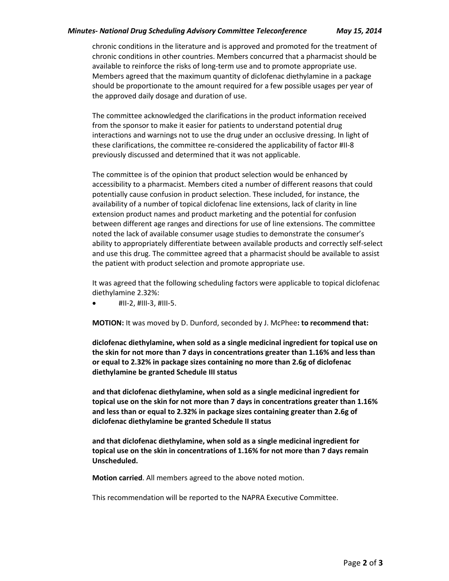## *Minutes- National Drug Scheduling Advisory Committee Teleconference May 15, 2014*

chronic conditions in the literature and is approved and promoted for the treatment of chronic conditions in other countries. Members concurred that a pharmacist should be available to reinforce the risks of long-term use and to promote appropriate use. Members agreed that the maximum quantity of diclofenac diethylamine in a package should be proportionate to the amount required for a few possible usages per year of the approved daily dosage and duration of use.

The committee acknowledged the clarifications in the product information received from the sponsor to make it easier for patients to understand potential drug interactions and warnings not to use the drug under an occlusive dressing. In light of these clarifications, the committee re-considered the applicability of factor #II-8 previously discussed and determined that it was not applicable.

The committee is of the opinion that product selection would be enhanced by accessibility to a pharmacist. Members cited a number of different reasons that could potentially cause confusion in product selection. These included, for instance, the availability of a number of topical diclofenac line extensions, lack of clarity in line extension product names and product marketing and the potential for confusion between different age ranges and directions for use of line extensions. The committee noted the lack of available consumer usage studies to demonstrate the consumer's ability to appropriately differentiate between available products and correctly self-select and use this drug. The committee agreed that a pharmacist should be available to assist the patient with product selection and promote appropriate use.

It was agreed that the following scheduling factors were applicable to topical diclofenac diethylamine 2.32%:

#II-2, #III-3, #III-5.

**MOTION:** It was moved by D. Dunford, seconded by J. McPhee**: to recommend that:**

**diclofenac diethylamine, when sold as a single medicinal ingredient for topical use on the skin for not more than 7 days in concentrations greater than 1.16% and less than or equal to 2.32% in package sizes containing no more than 2.6g of diclofenac diethylamine be granted Schedule III status** 

**and that diclofenac diethylamine, when sold as a single medicinal ingredient for topical use on the skin for not more than 7 days in concentrations greater than 1.16% and less than or equal to 2.32% in package sizes containing greater than 2.6g of diclofenac diethylamine be granted Schedule II status**

**and that diclofenac diethylamine, when sold as a single medicinal ingredient for topical use on the skin in concentrations of 1.16% for not more than 7 days remain Unscheduled.**

**Motion carried**. All members agreed to the above noted motion.

This recommendation will be reported to the NAPRA Executive Committee.